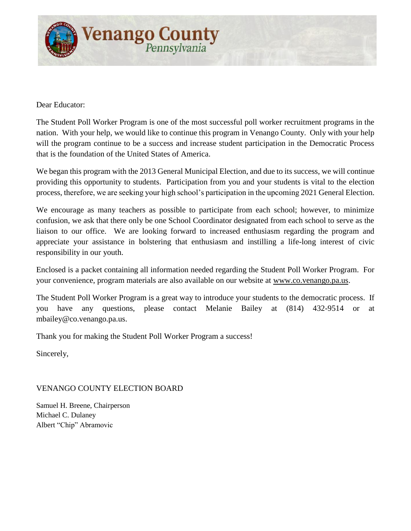

Dear Educator:

The Student Poll Worker Program is one of the most successful poll worker recruitment programs in the nation. With your help, we would like to continue this program in Venango County. Only with your help will the program continue to be a success and increase student participation in the Democratic Process that is the foundation of the United States of America.

We began this program with the 2013 General Municipal Election, and due to its success, we will continue providing this opportunity to students. Participation from you and your students is vital to the election process, therefore, we are seeking your high school's participation in the upcoming 2021 General Election.

We encourage as many teachers as possible to participate from each school; however, to minimize confusion, we ask that there only be one School Coordinator designated from each school to serve as the liaison to our office. We are looking forward to increased enthusiasm regarding the program and appreciate your assistance in bolstering that enthusiasm and instilling a life-long interest of civic responsibility in our youth.

Enclosed is a packet containing all information needed regarding the Student Poll Worker Program. For your convenience, program materials are also available on our website at www.co.venango.pa.us.

The Student Poll Worker Program is a great way to introduce your students to the democratic process. If you have any questions, please contact Melanie Bailey at (814) 432-9514 or at mbailey@co.venango.pa.us.

Thank you for making the Student Poll Worker Program a success!

Sincerely,

VENANGO COUNTY ELECTION BOARD

Samuel H. Breene, Chairperson Michael C. Dulaney Albert "Chip" Abramovic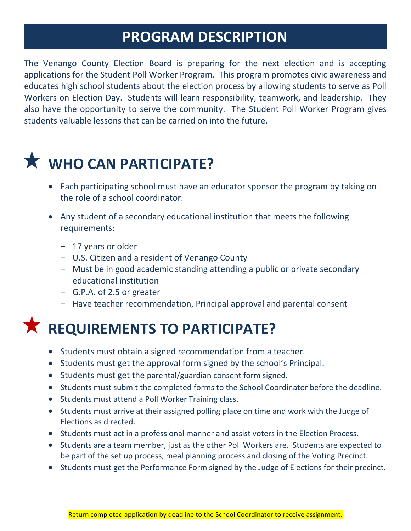#### **PROGRAM DESCRIPTION**

The Venango County Election Board is preparing for the next election and is accepting applications for the Student Poll Worker Program. This program promotes civic awareness and educates high school students about the election process by allowing students to serve as Poll Workers on Election Day. Students will learn responsibility, teamwork, and leadership. They also have the opportunity to serve the community. The Student Poll Worker Program gives students valuable lessons that can be carried on into the future.

# **WHO CAN PARTICIPATE?**

- Each participating school must have an educator sponsor the program by taking on the role of a school coordinator.
- Any student of a secondary educational institution that meets the following requirements:
	- 17 years or older
	- U.S. Citizen and a resident of Venango County
	- Must be in good academic standing attending a public or private secondary educational institution
	- G.P.A. of 2.5 or greater
	- Have teacher recommendation, Principal approval and parental consent



- Students must obtain a signed recommendation from a teacher.
- Students must get the approval form signed by the school's Principal.
- Students must get the parental/guardian consent form signed.
- Students must submit the completed forms to the School Coordinator before the deadline.
- Students must attend a Poll Worker Training class.
- Students must arrive at their assigned polling place on time and work with the Judge of Elections as directed.
- Students must act in a professional manner and assist voters in the Election Process.
- Students are a team member, just as the other Poll Workers are. Students are expected to be part of the set up process, meal planning process and closing of the Voting Precinct.
- Students must get the Performance Form signed by the Judge of Elections for their precinct.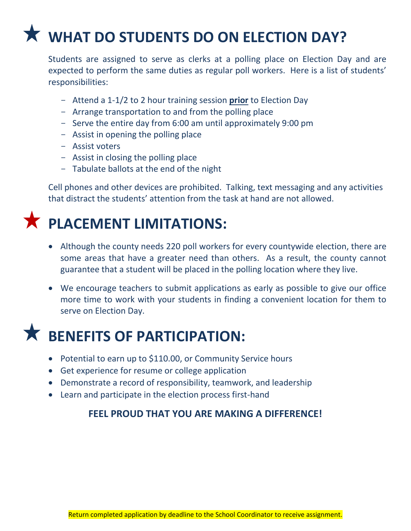# **WHAT DO STUDENTS DO ON ELECTION DAY?**

Students are assigned to serve as clerks at a polling place on Election Day and are expected to perform the same duties as regular poll workers. Here is a list of students' responsibilities:

- Attend a 1-1/2 to 2 hour training session **prior** to Election Day
- Arrange transportation to and from the polling place
- Serve the entire day from 6:00 am until approximately 9:00 pm
- Assist in opening the polling place
- Assist voters
- Assist in closing the polling place
- Tabulate ballots at the end of the night

Cell phones and other devices are prohibited. Talking, text messaging and any activities that distract the students' attention from the task at hand are not allowed.

## **PLACEMENT LIMITATIONS:**

- Although the county needs 220 poll workers for every countywide election, there are some areas that have a greater need than others. As a result, the county cannot guarantee that a student will be placed in the polling location where they live.
- We encourage teachers to submit applications as early as possible to give our office more time to work with your students in finding a convenient location for them to serve on Election Day.

## **BENEFITS OF PARTICIPATION:**

- Potential to earn up to \$110.00, or Community Service hours
- Get experience for resume or college application
- Demonstrate a record of responsibility, teamwork, and leadership
- Learn and participate in the election process first-hand

#### **FEEL PROUD THAT YOU ARE MAKING A DIFFERENCE!**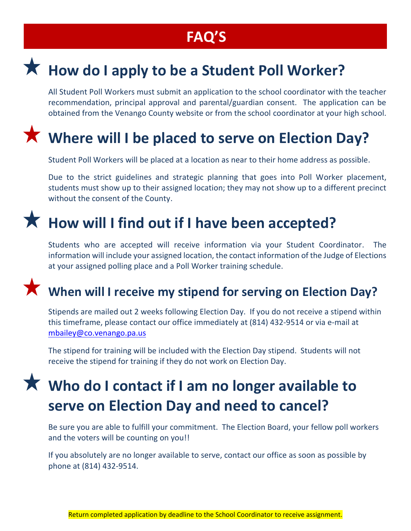### **FAQ'S**

## **How do I apply to be a Student Poll Worker?**

All Student Poll Workers must submit an application to the school coordinator with the teacher recommendation, principal approval and parental/guardian consent. The application can be obtained from the Venango County website or from the school coordinator at your high school.

### **Where will I be placed to serve on Election Day?**

Student Poll Workers will be placed at a location as near to their home address as possible.

Due to the strict guidelines and strategic planning that goes into Poll Worker placement, students must show up to their assigned location; they may not show up to a different precinct without the consent of the County.

### **How will I find out if I have been accepted?**

Students who are accepted will receive information via your Student Coordinator. The information will include your assigned location, the contact information of the Judge of Elections at your assigned polling place and a Poll Worker training schedule.

#### **When will I receive my stipend for serving on Election Day?**

Stipends are mailed out 2 weeks following Election Day. If you do not receive a stipend within this timeframe, please contact our office immediately at (814) 432-9514 or via e-mail at mbailey@co.venango.pa.us

The stipend for training will be included with the Election Day stipend. Students will not receive the stipend for training if they do not work on Election Day.

## **Who do I contact if I am no longer available to serve on Election Day and need to cancel?**

Be sure you are able to fulfill your commitment. The Election Board, your fellow poll workers and the voters will be counting on you!!

If you absolutely are no longer available to serve, contact our office as soon as possible by phone at (814) 432-9514.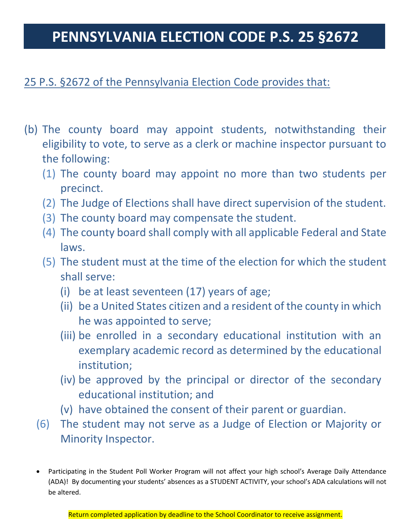#### **PENNSYLVANIA ELECTION CODE P.S. 25 §2672**

#### 25 P.S. §2672 of the Pennsylvania Election Code provides that:

- (b) The county board may appoint students, notwithstanding their eligibility to vote, to serve as a clerk or machine inspector pursuant to the following:
	- (1) The county board may appoint no more than two students per precinct.
	- (2) The Judge of Elections shall have direct supervision of the student.
	- (3) The county board may compensate the student.
	- (4) The county board shall comply with all applicable Federal and State laws.
	- (5) The student must at the time of the election for which the student shall serve:
		- (i) be at least seventeen (17) years of age;
		- (ii) be a United States citizen and a resident of the county in which he was appointed to serve;
		- (iii) be enrolled in a secondary educational institution with an exemplary academic record as determined by the educational institution;
		- (iv) be approved by the principal or director of the secondary educational institution; and
		- (v) have obtained the consent of their parent or guardian.
	- (6) The student may not serve as a Judge of Election or Majority or Minority Inspector.
	- Participating in the Student Poll Worker Program will not affect your high school's Average Daily Attendance (ADA)! By documenting your students' absences as a STUDENT ACTIVITY, your school's ADA calculations will not be altered.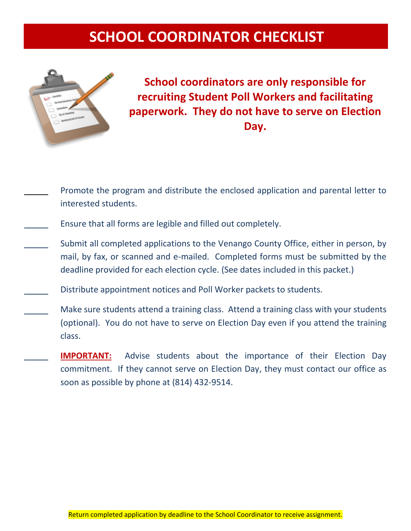### **SCHOOL COORDINATOR CHECKLIST**



**School coordinators are only responsible for recruiting Student Poll Workers and facilitating paperwork. They do not have to serve on Election Day.**

- Promote the program and distribute the enclosed application and parental letter to interested students.
- Ensure that all forms are legible and filled out completely.
- Submit all completed applications to the Venango County Office, either in person, by mail, by fax, or scanned and e-mailed. Completed forms must be submitted by the deadline provided for each election cycle. (See dates included in this packet.)
- Distribute appointment notices and Poll Worker packets to students.
- Make sure students attend a training class. Attend a training class with your students (optional). You do not have to serve on Election Day even if you attend the training class.
	- **IMPORTANT:** Advise students about the importance of their Election Day commitment. If they cannot serve on Election Day, they must contact our office as soon as possible by phone at (814) 432-9514.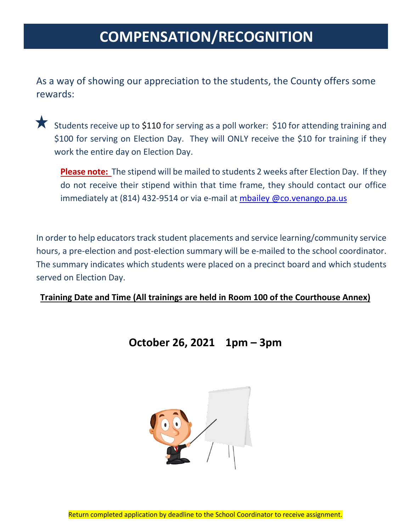#### **COMPENSATION/RECOGNITION**

As a way of showing our appreciation to the students, the County offers some rewards:

Students receive up to \$110 for serving as a poll worker: \$10 for attending training and \$100 for serving on Election Day. They will ONLY receive the \$10 for training if they work the entire day on Election Day.

**Please note:** The stipend will be mailed to students 2 weeks after Election Day. If they do not receive their stipend within that time frame, they should contact our office immediately at (814) 432-9514 or via e-mail at mbailey @co.venango.pa.us

In order to help educators track student placements and service learning/community service hours, a pre-election and post-election summary will be e-mailed to the school coordinator. The summary indicates which students were placed on a precinct board and which students served on Election Day.

**Training Date and Time (All trainings are held in Room 100 of the Courthouse Annex)**

#### **October 26, 2021 1pm – 3pm**

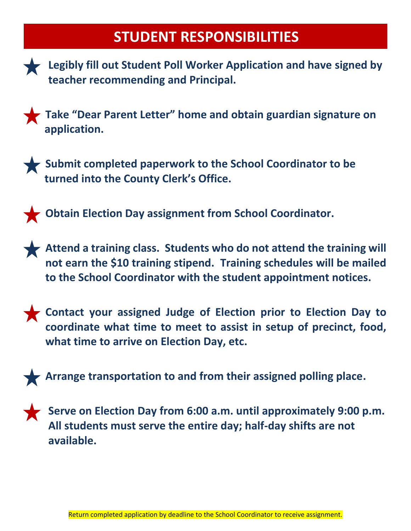#### **STUDENT RESPONSIBILITIES**



**Legibly fill out Student Poll Worker Application and have signed by teacher recommending and Principal.**

**Take "Dear Parent Letter" home and obtain guardian signature on application.**



**Submit completed paperwork to the School Coordinator to be turned into the County Clerk's Office.**



**Obtain Election Day assignment from School Coordinator.**

**Attend a training class. Students who do not attend the training will not earn the \$10 training stipend. Training schedules will be mailed to the School Coordinator with the student appointment notices.**



**Contact your assigned Judge of Election prior to Election Day to coordinate what time to meet to assist in setup of precinct, food, what time to arrive on Election Day, etc.**





**Serve on Election Day from 6:00 a.m. until approximately 9:00 p.m. All students must serve the entire day; half-day shifts are not available.**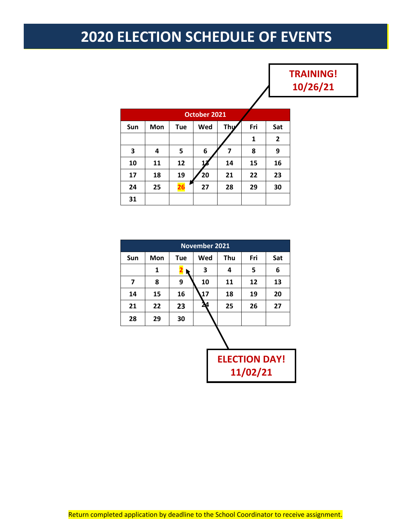### **2020 ELECTION SCHEDULE OF EVENTS**

#### **TRAINING! 10/26/21**

| October 2021 |     |            |     |     |     |              |  |  |  |
|--------------|-----|------------|-----|-----|-----|--------------|--|--|--|
| Sun          | Mon | <b>Tue</b> | Wed | Thu | Fri | Sat          |  |  |  |
|              |     |            |     |     | 1   | $\mathbf{2}$ |  |  |  |
| 3            | 4   | 5          | 6   | 7   | 8   | 9            |  |  |  |
| 10           | 11  | 12         |     | 14  | 15  | 16           |  |  |  |
| 17           | 18  | 19         | 20  | 21  | 22  | 23           |  |  |  |
| 24           | 25  | 26         | 27  | 28  | 29  | 30           |  |  |  |
| 31           |     |            |     |     |     |              |  |  |  |

| <b>November 2021</b> |     |            |     |     |     |     |  |
|----------------------|-----|------------|-----|-----|-----|-----|--|
| Sun                  | Mon | <b>Tue</b> | Wed | Thu | Fri | Sat |  |
|                      | 1   |            | 3   | 4   | 5   | 6   |  |
| 7                    | 8   | 9          | 10  | 11  | 12  | 13  |  |
| 14                   | 15  | 16         | 17  | 18  | 19  | 20  |  |
| 21                   | 22  | 23         |     | 25  | 26  | 27  |  |
| 28                   | 29  | 30         |     |     |     |     |  |
|                      |     |            |     |     |     |     |  |
| .                    |     |            |     |     |     |     |  |

**ELECTION DAY! 11/02/21**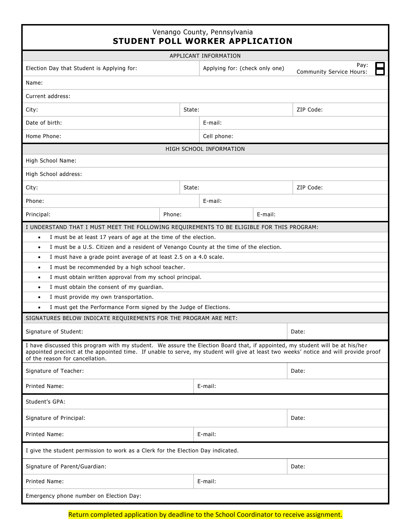|                                                                                                                                                                                                                                                                                                                                                                                                                                                                                                          |                     | Venango County, Pennsylvania<br><b>STUDENT POLL WORKER APPLICATION</b> |       |           |  |
|----------------------------------------------------------------------------------------------------------------------------------------------------------------------------------------------------------------------------------------------------------------------------------------------------------------------------------------------------------------------------------------------------------------------------------------------------------------------------------------------------------|---------------------|------------------------------------------------------------------------|-------|-----------|--|
|                                                                                                                                                                                                                                                                                                                                                                                                                                                                                                          |                     | APPLICANT INFORMATION                                                  |       |           |  |
| Election Day that Student is Applying for:                                                                                                                                                                                                                                                                                                                                                                                                                                                               |                     | Applying for: (check only one)<br><b>Community Service Hours:</b>      |       |           |  |
| Name:                                                                                                                                                                                                                                                                                                                                                                                                                                                                                                    |                     |                                                                        |       |           |  |
| Current address:                                                                                                                                                                                                                                                                                                                                                                                                                                                                                         |                     |                                                                        |       |           |  |
| City:                                                                                                                                                                                                                                                                                                                                                                                                                                                                                                    | ZIP Code:<br>State: |                                                                        |       |           |  |
| Date of birth:                                                                                                                                                                                                                                                                                                                                                                                                                                                                                           |                     | E-mail:                                                                |       |           |  |
| Home Phone:                                                                                                                                                                                                                                                                                                                                                                                                                                                                                              |                     | Cell phone:                                                            |       |           |  |
| HIGH SCHOOL INFORMATION                                                                                                                                                                                                                                                                                                                                                                                                                                                                                  |                     |                                                                        |       |           |  |
| High School Name:                                                                                                                                                                                                                                                                                                                                                                                                                                                                                        |                     |                                                                        |       |           |  |
| High School address:                                                                                                                                                                                                                                                                                                                                                                                                                                                                                     |                     |                                                                        |       |           |  |
| City:                                                                                                                                                                                                                                                                                                                                                                                                                                                                                                    | State:              |                                                                        |       | ZIP Code: |  |
| Phone:                                                                                                                                                                                                                                                                                                                                                                                                                                                                                                   |                     |                                                                        |       |           |  |
| Principal:<br>Phone:                                                                                                                                                                                                                                                                                                                                                                                                                                                                                     |                     | E-mail:                                                                |       |           |  |
| I must have a grade point average of at least 2.5 on a 4.0 scale.<br>$\bullet$<br>I must be recommended by a high school teacher.<br>$\bullet$<br>I must obtain written approval from my school principal.<br>$\bullet$<br>I must obtain the consent of my guardian.<br>$\bullet$<br>I must provide my own transportation.<br>$\bullet$<br>I must get the Performance Form signed by the Judge of Elections.<br>SIGNATURES BELOW INDICATE REQUIREMENTS FOR THE PROGRAM ARE MET:<br>Signature of Student: |                     |                                                                        |       | Date:     |  |
| I have discussed this program with my student. We assure the Election Board that, if appointed, my student will be at his/her<br>appointed precinct at the appointed time. If unable to serve, my student will give at least two weeks' notice and will provide proof<br>of the reason for cancellation.                                                                                                                                                                                                 |                     |                                                                        |       |           |  |
| Signature of Teacher:                                                                                                                                                                                                                                                                                                                                                                                                                                                                                    |                     |                                                                        | Date: |           |  |
| Printed Name:<br>E-mail:                                                                                                                                                                                                                                                                                                                                                                                                                                                                                 |                     |                                                                        |       |           |  |
| Student's GPA:                                                                                                                                                                                                                                                                                                                                                                                                                                                                                           |                     |                                                                        |       |           |  |
| Signature of Principal:                                                                                                                                                                                                                                                                                                                                                                                                                                                                                  |                     |                                                                        | Date: |           |  |
| Printed Name:                                                                                                                                                                                                                                                                                                                                                                                                                                                                                            | E-mail:             |                                                                        |       |           |  |
| I give the student permission to work as a Clerk for the Election Day indicated.                                                                                                                                                                                                                                                                                                                                                                                                                         |                     |                                                                        |       |           |  |
| Signature of Parent/Guardian:                                                                                                                                                                                                                                                                                                                                                                                                                                                                            | Date:               |                                                                        |       |           |  |
| Printed Name:                                                                                                                                                                                                                                                                                                                                                                                                                                                                                            | E-mail:             |                                                                        |       |           |  |
| Emergency phone number on Election Day:                                                                                                                                                                                                                                                                                                                                                                                                                                                                  |                     |                                                                        |       |           |  |